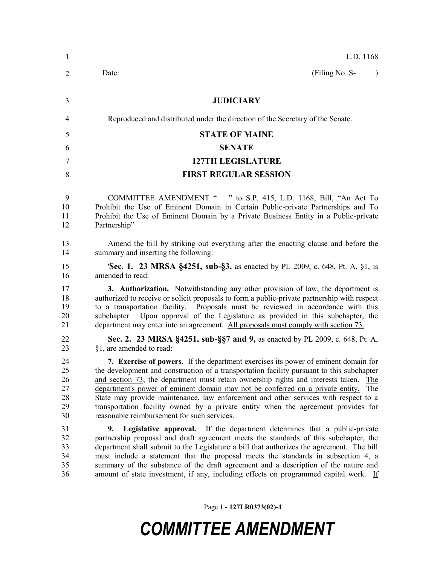| 1                                      | L.D. 1168                                                                                                                                                                                                                                                                                                                                                                                                                                                                                                                                                                                      |
|----------------------------------------|------------------------------------------------------------------------------------------------------------------------------------------------------------------------------------------------------------------------------------------------------------------------------------------------------------------------------------------------------------------------------------------------------------------------------------------------------------------------------------------------------------------------------------------------------------------------------------------------|
| 2                                      | (Filing No. S-<br>Date:<br>$\lambda$                                                                                                                                                                                                                                                                                                                                                                                                                                                                                                                                                           |
| 3                                      | <b>JUDICIARY</b>                                                                                                                                                                                                                                                                                                                                                                                                                                                                                                                                                                               |
| $\overline{4}$                         | Reproduced and distributed under the direction of the Secretary of the Senate.                                                                                                                                                                                                                                                                                                                                                                                                                                                                                                                 |
| 5                                      | <b>STATE OF MAINE</b>                                                                                                                                                                                                                                                                                                                                                                                                                                                                                                                                                                          |
| 6                                      | <b>SENATE</b>                                                                                                                                                                                                                                                                                                                                                                                                                                                                                                                                                                                  |
| 7                                      | <b>127TH LEGISLATURE</b>                                                                                                                                                                                                                                                                                                                                                                                                                                                                                                                                                                       |
| 8                                      | <b>FIRST REGULAR SESSION</b>                                                                                                                                                                                                                                                                                                                                                                                                                                                                                                                                                                   |
| 9<br>10<br>11<br>12                    | COMMITTEE AMENDMENT " " to S.P. 415, L.D. 1168, Bill, "An Act To<br>Prohibit the Use of Eminent Domain in Certain Public-private Partnerships and To<br>Prohibit the Use of Eminent Domain by a Private Business Entity in a Public-private<br>Partnership"                                                                                                                                                                                                                                                                                                                                    |
| 13<br>14                               | Amend the bill by striking out everything after the enacting clause and before the<br>summary and inserting the following:                                                                                                                                                                                                                                                                                                                                                                                                                                                                     |
| 15<br>16                               | <b>Sec. 1. 23 MRSA §4251, sub-§3, as enacted by PL 2009, c. 648, Pt. A, §1, is</b><br>amended to read:                                                                                                                                                                                                                                                                                                                                                                                                                                                                                         |
| 17<br>18<br>19<br>20<br>21             | <b>3. Authorization.</b> Notwithstanding any other provision of law, the department is<br>authorized to receive or solicit proposals to form a public-private partnership with respect<br>to a transportation facility. Proposals must be reviewed in accordance with this<br>subchapter. Upon approval of the Legislature as provided in this subchapter, the<br>department may enter into an agreement. All proposals must comply with section 73.                                                                                                                                           |
| 22<br>23                               | Sec. 2. 23 MRSA §4251, sub-§§7 and 9, as enacted by PL 2009, c. 648, Pt. A,<br>§1, are amended to read:                                                                                                                                                                                                                                                                                                                                                                                                                                                                                        |
| 24<br>25<br>26<br>27<br>28<br>29<br>30 | 7. Exercise of powers. If the department exercises its power of eminent domain for<br>the development and construction of a transportation facility pursuant to this subchapter<br>and section 73, the department must retain ownership rights and interests taken.<br>The<br>department's power of eminent domain may not be conferred on a private entity.<br>The<br>State may provide maintenance, law enforcement and other services with respect to a<br>transportation facility owned by a private entity when the agreement provides for<br>reasonable reimbursement for such services. |
| 31<br>32<br>33<br>34<br>35<br>36       | <b>Legislative approval.</b> If the department determines that a public-private<br>9.<br>partnership proposal and draft agreement meets the standards of this subchapter, the<br>department shall submit to the Legislature a bill that authorizes the agreement. The bill<br>must include a statement that the proposal meets the standards in subsection 4, a<br>summary of the substance of the draft agreement and a description of the nature and<br>amount of state investment, if any, including effects on programmed capital work. If                                                 |

Page 1 **- 127LR0373(02)-1**

## *COMMITTEE AMENDMENT*